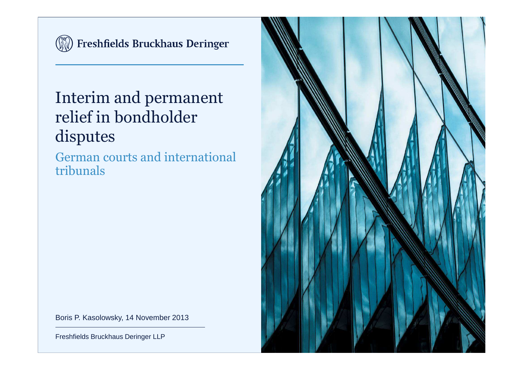

(N) Freshfields Bruckhaus Deringer

## Interim and permanent relief in bondholder disputes

German courts and international tribunals



Boris P. Kasolowsky, 14 November 2013

Freshfields Bruckhaus Deringer LLP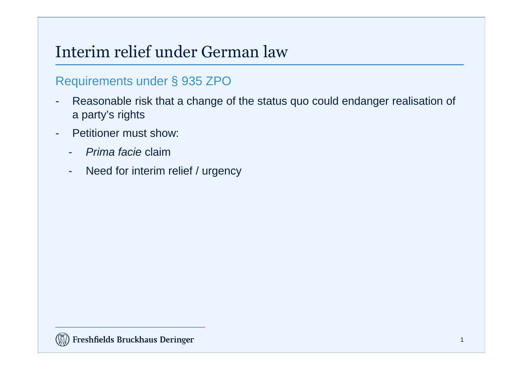### Interim relief under German law

#### Requirements under § 935 ZPO

- Reasonable risk that a change of the status quo could endanger realisation of a party's rights
- Petitioner must show:
	- -Prima facie claim
	- Need for interim relief / urgency-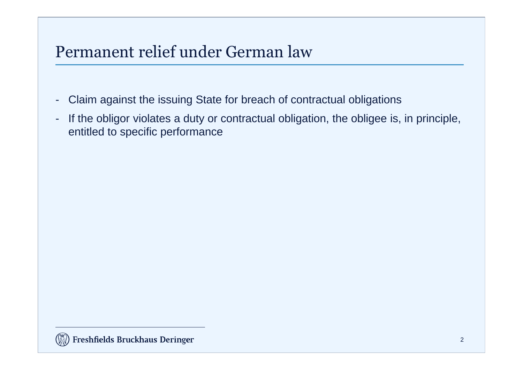### Permanent relief under German law

- -Claim against the issuing State for breach of contractual obligations
- - If the obligor violates a duty or contractual obligation, the obligee is, in principle, entitled to specific performance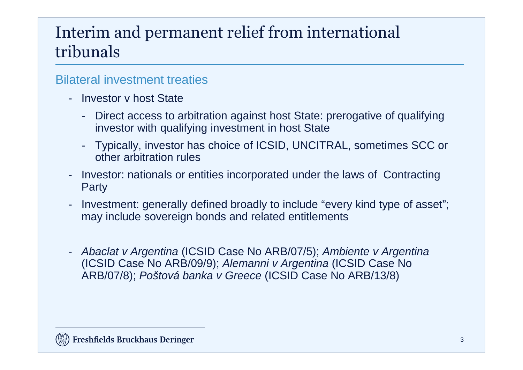## Interim and permanent relief from international tribunals

#### Bilateral investment treaties

- Investor v host State
	- Direct access to arbitration against host State: prerogative of qualifying investor with qualifying investment in host State
	- Typically, investor has choice of ICSID, UNCITRAL, sometimes SCC or other arbitration rules
- Investor: nationals or entities incorporated under the laws of Contracting Party
- - Investment: generally defined broadly to include "every kind type of asset"; may include sovereign bonds and related entitlements
- Abaclat v Argentina (ICSID Case No ARB/07/5); Ambiente v Argentina (ICSID Case No ARB/09/9); Alemanni v Argentina (ICSID Case No ARB/07/8); Poštová banka v Greece (ICSID Case No ARB/13/8)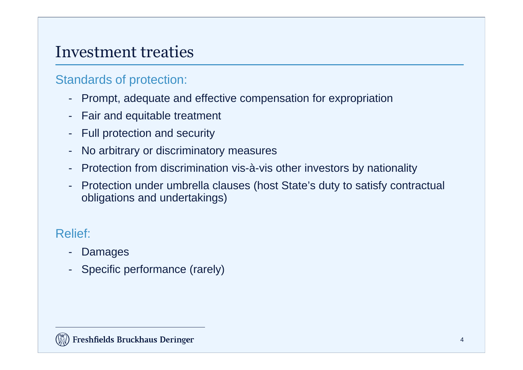### Investment treaties

#### Standards of protection:

- Prompt, adequate and effective compensation for expropriation
- Fair and equitable treatment
- Full protection and security
- No arbitrary or discriminatory measures
- Protection from discrimination vis-à-vis other investors by nationality
- Protection under umbrella clauses (host State's duty to satisfy contractual obligations and undertakings)

### Relief:

- Damages
- Specific performance (rarely)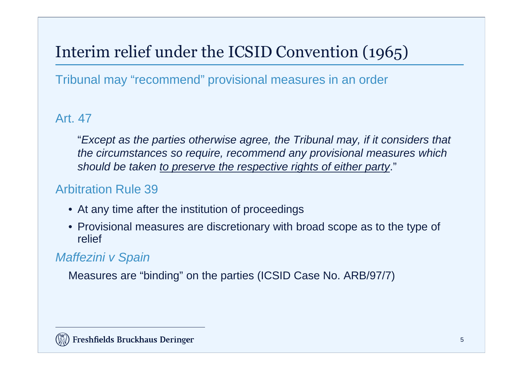# Interim relief under the ICSID Convention (1965)

Tribunal may "recommend" provisional measures in an order

#### Art. 47

"Except as the parties otherwise agree, the Tribunal may, if it considers that the circumstances so require, recommend any provisional measures which should be taken to preserve the respective rights of either party."

#### Arbitration Rule 39

- At any time after the institution of proceedings
- Provisional measures are discretionary with broad scope as to the type of relief

#### Maffezini v Spain

Measures are "binding" on the parties (ICSID Case No. ARB/97/7)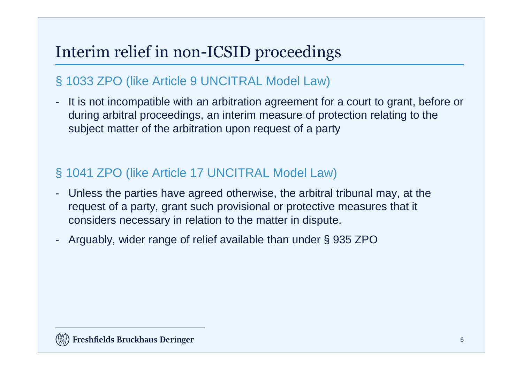## Interim relief in non-ICSID proceedings

### § 1033 ZPO (like Article 9 UNCITRAL Model Law)

 It is not incompatible with an arbitration agreement for a court to grant, before or during arbitral proceedings, an interim measure of protection relating to the subject matter of the arbitration upon request of a party

### § 1041 ZPO (like Article 17 UNCITRAL Model Law)

- Unless the parties have agreed otherwise, the arbitral tribunal may, at the request of a party, grant such provisional or protective measures that it considers necessary in relation to the matter in dispute.
- Arguably, wider range of relief available than under § 935 ZPO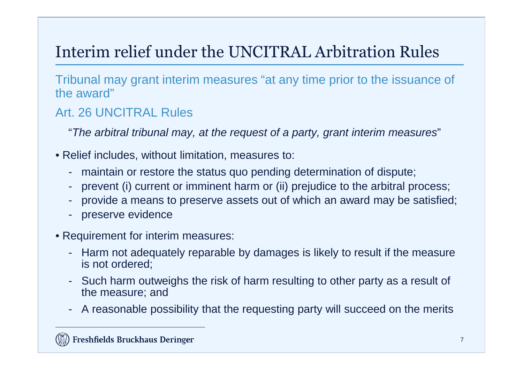# Interim relief under the UNCITRAL Arbitration Rules

Tribunal may grant interim measures "at any time prior to the issuance of the award"

#### Art. 26 UNCITRAL Rules

"The arbitral tribunal may, at the request of a party, grant interim measures"

- Relief includes, without limitation, measures to:
	- maintain or restore the status quo pending determination of dispute;
	- prevent (i) current or imminent harm or (ii) prejudice to the arbitral process;
	- provide a means to preserve assets out of which an award may be satisfied;
	- preserve evidence
- Requirement for interim measures:
	- Harm not adequately reparable by damages is likely to result if the measure is not ordered;
	- Such harm outweighs the risk of harm resulting to other party as a result of the measure; and
	- A reasonable possibility that the requesting party will succeed on the merits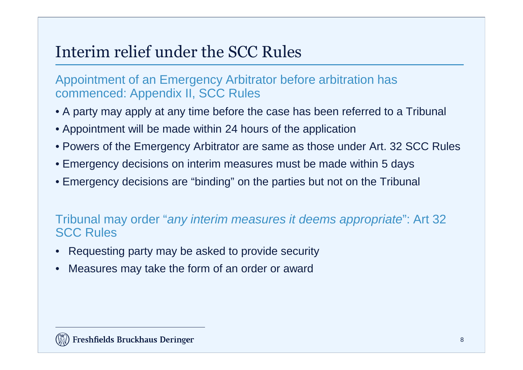### Interim relief under the SCC Rules

Appointment of an Emergency Arbitrator before arbitration has commenced: Appendix II, SCC Rules

- A party may apply at any time before the case has been referred to a Tribunal
- Appointment will be made within 24 hours of the application
- Powers of the Emergency Arbitrator are same as those under Art. 32 SCC Rules
- Emergency decisions on interim measures must be made within 5 days
- Emergency decisions are "binding" on the parties but not on the Tribunal

#### Tribunal may order "any interim measures it deems appropriate": Art 32 SCC Rules

- •Requesting party may be asked to provide security
- •Measures may take the form of an order or award